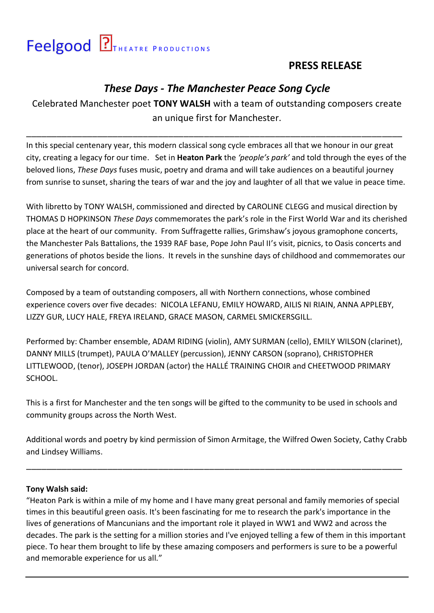# Feelgood **PIT HEATRE PRODUCTIONS**

## **PRESS RELEASE**

## *These Days - The Manchester Peace Song Cycle*

Celebrated Manchester poet **TONY WALSH** with a team of outstanding composers create an unique first for Manchester.

\_\_\_\_\_\_\_\_\_\_\_\_\_\_\_\_\_\_\_\_\_\_\_\_\_\_\_\_\_\_\_\_\_\_\_\_\_\_\_\_\_\_\_\_\_\_\_\_\_\_\_\_\_\_\_\_\_\_\_\_\_\_\_\_\_\_\_\_\_\_\_\_\_\_

In this special centenary year, this modern classical song cycle embraces all that we honour in our great city, creating a legacy for our time. Set in **Heaton Park** the *͚people͛s park͛* and told through the eyes of the beloved lions, *These Days* fuses music, poetry and drama and will take audiences on a beautiful journey from sunrise to sunset, sharing the tears of war and the joy and laughter of all that we value in peace time.

With libretto by TONY WALSH, commissioned and directed by CAROLINE CLEGG and musical direction by THOMAS D HOPKINSON *These Days* commemorates the park's role in the First World War and its cherished place at the heart of our community. From Suffragette rallies, Grimshaw's joyous gramophone concerts, the Manchester Pals Battalions, the 1939 RAF base, Pope John Paul II's visit, picnics, to Oasis concerts and generations of photos beside the lions. It revels in the sunshine days of childhood and commemorates our universal search for concord.

Composed by a team of outstanding composers, all with Northern connections, whose combined experience covers over five decades: NICOLA LEFANU, EMILY HOWARD, AILIS NI RIAIN, ANNA APPLEBY, LIZZY GUR, LUCY HALE, FREYA IRELAND, GRACE MASON, CARMEL SMICKERSGILL.

Performed by: Chamber ensemble, ADAM RIDING (violin), AMY SURMAN (cello), EMILY WILSON (clarinet), DANNY MILLS (trumpet), PAULA O'MALLEY (percussion), JENNY CARSON (soprano), CHRISTOPHER LITTLEWOOD, (tenor), JOSEPH JORDAN (actor) the HALLÉ TRAINING CHOIR and CHEETWOOD PRIMARY SCHOOL.

This is a first for Manchester and the ten songs will be gifted to the community to be used in schools and community groups across the North West.

Additional words and poetry by kind permission of Simon Armitage, the Wilfred Owen Society, Cathy Crabb and Lindsey Williams.

\_\_\_\_\_\_\_\_\_\_\_\_\_\_\_\_\_\_\_\_\_\_\_\_\_\_\_\_\_\_\_\_\_\_\_\_\_\_\_\_\_\_\_\_\_\_\_\_\_\_\_\_\_\_\_\_\_\_\_\_\_\_\_\_\_\_\_\_\_\_\_\_\_\_

#### **Tony Walsh said:**

͞Heaton Park is within a mile of my home and I have many great personal and family memories of special times in this beautiful green oasis. It's been fascinating for me to research the park's importance in the lives of generations of Mancunians and the important role it played in WW1 and WW2 and across the decades. The park is the setting for a million stories and I've enjoyed telling a few of them in this important piece. To hear them brought to life by these amazing composers and performers is sure to be a powerful and memorable experience for us all."